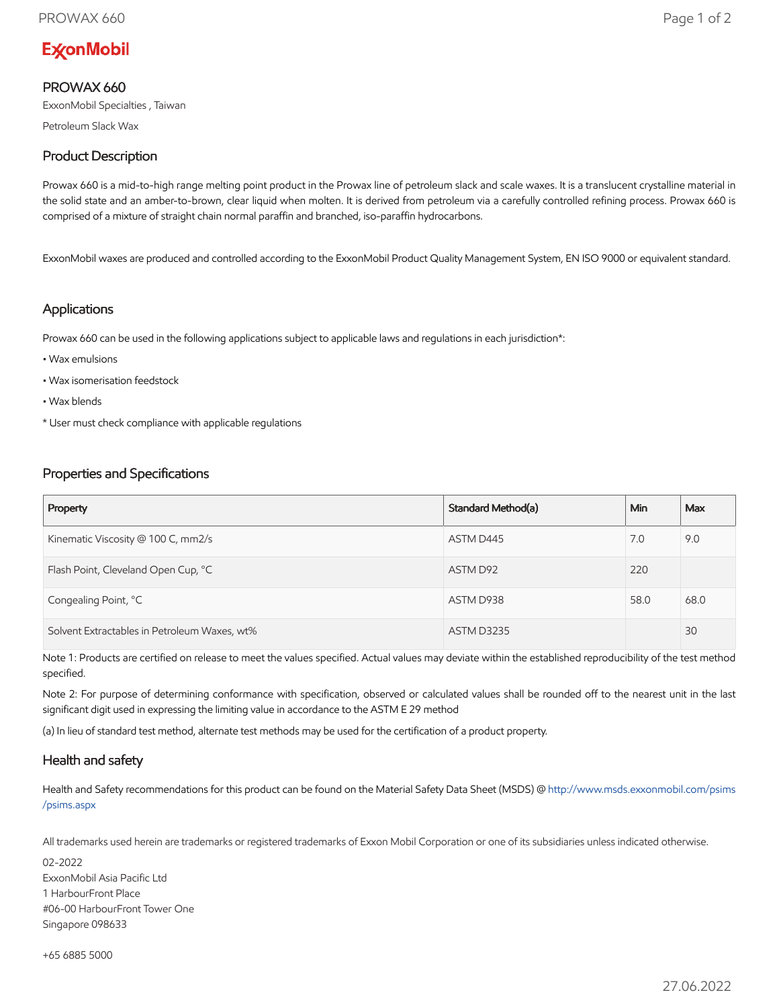# **ExconMobil**

## PROWAX 660

ExxonMobil Specialties , Taiwan

Petroleum Slack Wax

## Product Description

Prowax 660 is a mid-to-high range melting point product in the Prowax line of petroleum slack and scale waxes. It is a translucent crystalline material in the solid state and an amber-to-brown, clear liquid when molten. It is derived from petroleum via a carefully controlled refining process. Prowax 660 is comprised of a mixture of straight chain normal paraffin and branched, iso-paraffin hydrocarbons.

ExxonMobil waxes are produced and controlled according to the ExxonMobil Product Quality Management System, EN ISO 9000 or equivalent standard.

#### Applications

Prowax 660 can be used in the following applications subject to applicable laws and regulations in each jurisdiction\*:

- Wax emulsions
- Wax isomerisation feedstock
- Wax blends
- \* User must check compliance with applicable regulations

### Properties and Specifications

| Property                                     | Standard Method(a) | Min  | Max  |
|----------------------------------------------|--------------------|------|------|
| Kinematic Viscosity @ 100 C, mm2/s           | ASTM D445          | 7.0  | 9.0  |
| Flash Point, Cleveland Open Cup, °C          | ASTM D92           | 220  |      |
| Congealing Point, °C                         | ASTM D938          | 58.0 | 68.0 |
| Solvent Extractables in Petroleum Waxes, wt% | <b>ASTM D3235</b>  |      | 30   |

Note 1: Products are certified on release to meet the values specified. Actual values may deviate within the established reproducibility of the test method specified.

Note 2: For purpose of determining conformance with specification, observed or calculated values shall be rounded off to the nearest unit in the last significant digit used in expressing the limiting value in accordance to the ASTM E 29 method

(a) In lieu of standard test method, alternate test methods may be used for the certification of a product property.

### Health and safety

Health and Safety recommendations for this product can be found on the Material Safety Data Sheet (MSDS) @ [http://www.msds.exxonmobil.com/psims](http://www.msds.exxonmobil.com/psims/psims.aspx) /psims.aspx

All trademarks used herein are trademarks or registered trademarks of Exxon Mobil Corporation or one of its subsidiaries unless indicated otherwise.

02-2022 ExxonMobil Asia Pacific Ltd 1 HarbourFront Place #06-00 HarbourFront Tower One Singapore 098633

+65 6885 5000